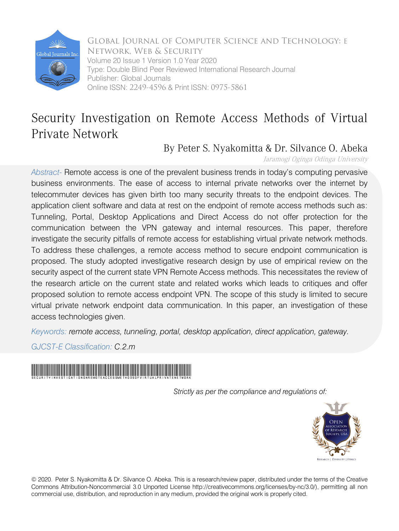

Volume 20 Issue 1 Version 1.0 Year 2020 Type: Double Blind Peer Reviewed International Research Journal Publisher: Global Journals Online ISSN: 2249-4596 & Print ISSN: 0975-5861 Global Journal of Computer Science and Technology: E Network, Web & Security

# Security Investigation on Remote Access Methods of Virtual Private Network

# By Peter S. Nyakomitta & Dr. Silvance O. Abeka

Jaramogi Oginga Odinga University

*Abstract-* Remote access is one of the prevalent business trends in today's computing pervasive business environments. The ease of access to internal private networks over the internet by telecommuter devices has given birth too many security threats to the endpoint devices. The application client software and data at rest on the endpoint of remote access methods such as: Tunneling, Portal, Desktop Applications and Direct Access do not offer protection for the communication between the VPN gateway and internal resources. This paper, therefore investigate the security pitfalls of remote access for establishing virtual private network methods. To address these challenges, a remote access method to secure endpoint communication is proposed. The study adopted investigative research design by use of empirical review on the security aspect of the current state VPN Remote Access methods. This necessitates the review of the research article on the current state and related works which leads to critiques and offer proposed solution to remote access endpoint VPN. The scope of this study is limited to secure virtual private network endpoint data communication. In this paper, an investigation of these access technologies given.

*Keywords: remote access, tunneling, portal, desktop application, direct application, gateway.* 

*GJCST-E Classification: C.2.m* 



*Strictly as per the compliance and regulations of:*



© 2020. Peter S. Nyakomitta & Dr. Silvance O. Abeka. This is a research/review paper, distributed under the terms of the Creative Commons Attribution-Noncommercial 3.0 Unported License http://creativecommons.org/licenses/by-nc/3.0/), permitting all non commercial use, distribution, and reproduction in any medium, provided the original work is properly cited.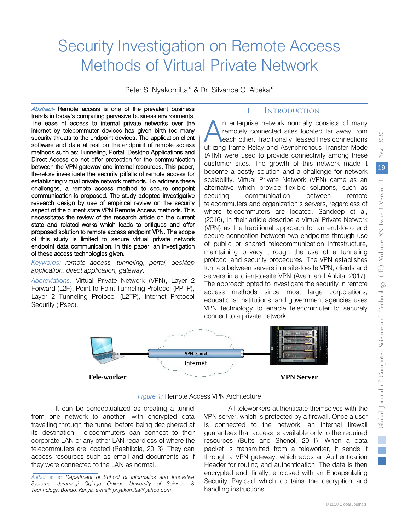# Security Investigation on Remote Access Methods of Virtual Private Network

Peter S. Nyakomitta <sup>α</sup> & Dr. Silvance O. Abeka<sup>σ</sup>

Abstract- Remote access is one of the prevalent business trends in today's computing pervasive business environments. The ease of access to internal private networks over the internet by telecommuter devices has given birth too many security threats to the endpoint devices. The application client software and data at rest on the endpoint of remote access methods such as: Tunneling, Portal, Desktop Applications and Direct Access do not offer protection for the communication between the VPN gateway and internal resources. This paper, therefore investigate the security pitfalls of remote access for establishing virtual private network methods. To address these challenges, a remote access method to secure endpoint communication is proposed. The study adopted investigative research design by use of empirical review on the security aspect of the current state VPN Remote Access methods. This necessitates the review of the research article on the current state and related works which leads to critiques and offer proposed solution to remote access endpoint VPN. The scope of this study is limited to secure virtual private network endpoint data communication. In this paper, an investigation of these access technologies given.

*Keywords: remote access, tunneling, portal, desktop application, direct application, gateway*.

*Abbreviations:* Virtual Private Network (VPN), Layer 2 Forward (L2F), Point-to-Point Tunneling Protocol (PPTP), Layer 2 Tunneling Protocol (L2TP), Internet Protocol Security (IPsec).

# I. Introduction

n enterprise network normally consists of many remotely connected sites located far away from each other. Traditionally, leased lines connections n enterprise network normally consists of many remotely connected sites located far away from each other. Traditionally, leased lines connections utilizing frame Relay and Asynchronous Transfer Mode (ATM) were used to provide connectivity among these customer sites. The growth of this network made it become a costly solution and a challenge for network scalability. Virtual Private Network (VPN) came as an alternative which provide flexible solutions, such as securing communication between remote telecommuters and organization's servers, regardless of where telecommuters are located. Sandeep et al, (2016), in their article describe a Virtual Private Network (VPN) as the traditional approach for an end-to-to end secure connection between two endpoints through use of public or shared telecommunication infrastructure, maintaining privacy through the use of a tunneling protocol and security procedures. The VPN establishes tunnels between servers in a site-to-site VPN, clients and servers in a client-to-site VPN (Avani and Ankita, 2017). The approach opted to investigate the security in remote access methods since most large corporations, educational institutions, and government agencies uses VPN technology to enable telecommuter to securely connect to a private network.



*Figure 1:* Remote Access VPN Architecture

It can be conceptualized as creating a tunnel from one network to another, with encrypted data travelling through the tunnel before being deciphered at its destination. Telecommuters can connect to their corporate LAN or any other LAN regardless of where the telecommuters are located (Rashikala, 2013). They can access resources such as email and documents as if they were connected to the LAN as normal.

*Author α σ: Department of School of Informatics and Innovative Systems, Jaramogi Oginga Odinga University of Science & Technology, Bondo, Kenya. e-mail: pnyakomitta@yahoo.com*

All teleworkers authenticate themselves with the VPN server, which is protected by a firewall. Once a user is connected to the network, an internal firewall guarantees that access is available only to the required resources (Butts and Shenoi, 2011). When a data packet is transmitted from a teleworker, it sends it through a VPN gateway, which adds an Authentication Header for routing and authentication. The data is then encrypted and, finally, enclosed with an Encapsulating Security Payload which contains the decryption and handling instructions.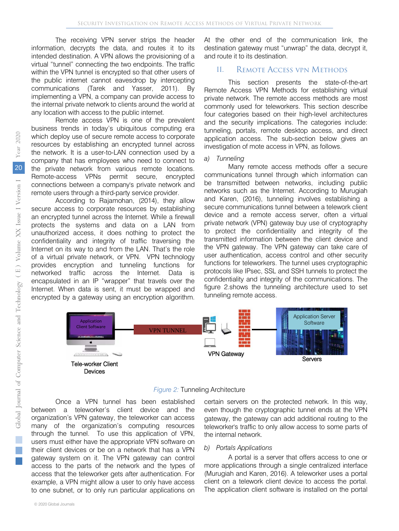The receiving VPN server strips the header information, decrypts the data, and routes it to its intended destination. A VPN allows the provisioning of a virtual "tunnel" connecting the two endpoints. The traffic within the VPN tunnel is encrypted so that other users of the public internet cannot eavesdrop by intercepting communications (Tarek and Yasser, 2011). By implementing a VPN, a company can provide access to the internal private network to clients around the world at any location with access to the public internet.

Remote access VPN is one of the prevalent business trends in today's ubiquitous computing era which deploy use of secure remote access to corporate resources by establishing an encrypted tunnel across the network. It is a user-to-LAN connection used by a company that has employees who need to connect to the private network from various remote locations. Remote-access VPNs permit secure, encrypted connections between a company's private network and remote users through a third-party service provider.

According to Rajamohan, (2014), they allow secure access to corporate resources by establishing an encrypted tunnel across the Internet. While a firewall protects the systems and data on a LAN from unauthorized access, it does nothing to protect the confidentiality and integrity of traffic traversing the Internet on its way to and from the LAN. That's the role of a virtual private network, or VPN. VPN technology provides encryption and tunneling functions for networked traffic across the Internet. Data is encapsulated in an IP "wrapper" that travels over the Internet. When data is sent, it must be wrapped and encrypted by a gateway using an encryption algorithm.

At the other end of the communication link, the destination gateway must "unwrap" the data, decrypt it, and route it to its destination.

# II. Remote Access vpn Methods

This section presents the state-of-the-art Remote Access VPN Methods for establishing virtual private network. The remote access methods are most commonly used for teleworkers. This section describe four categories based on their high-level architectures and the security implications. The categories include: tunneling, portals, remote desktop access, and direct application access. The sub-section below gives an investigation of mote access in VPN, as follows.

#### *a) Tunneling*

Many remote access methods offer a secure communications tunnel through which information can be transmitted between networks, including public networks such as the Internet. According to Murugiah and Karen, (2016), tunneling involves establishing a secure communications tunnel between a telework client device and a remote access server, often a virtual private network (VPN) gateway buy use of cryptography to protect the confidentiality and integrity of the transmitted information between the client device and the VPN gateway. The VPN gateway can take care of user authentication, access control and other security functions for teleworkers. The tunnel uses cryptographic protocols like IPsec, SSL and SSH tunnels to protect the confidentiality and integrity of the communications. The figure 2.shows the tunneling architecture used to set tunneling remote access.





Once a VPN tunnel has been established between a teleworker's client device and the organization's VPN gateway, the teleworker can access many of the organization's computing resources through the tunnel. To use this application of VPN, users must either have the appropriate VPN software on their client devices or be on a network that has a VPN gateway system on it. The VPN gateway can control access to the parts of the network and the types of access that the teleworker gets after authentication. For example, a VPN might allow a user to only have access to one subnet, or to only run particular applications on

certain servers on the protected network. In this way, even though the cryptographic tunnel ends at the VPN gateway, the gateway can add additional routing to the teleworker's traffic to only allow access to some parts of the internal network.

#### *b) Portals Applications*

A portal is a server that offers access to one or more applications through a single centralized interface (Murugiah and Karen, 2016). A teleworker uses a portal client on a telework client device to access the portal. The application client software is installed on the portal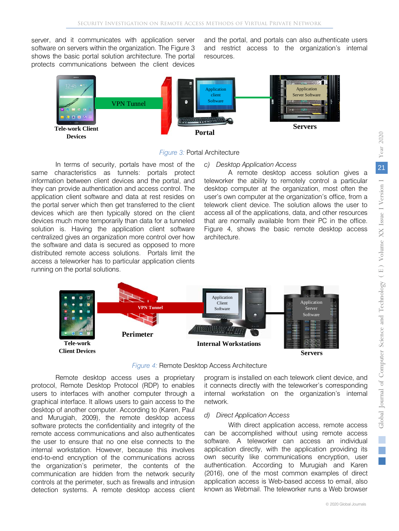server, and it communicates with application server software on servers within the organization. The Figure 3 shows the basic portal solution architecture. The portal protects communications between the client devices

and the portal, and portals can also authenticate users and restrict access to the organization's internal resources.



#### *Figure 3:* Portal Architecture

In terms of security, portals have most of the same characteristics as tunnels: portals protect information between client devices and the portal, and they can provide authentication and access control. The application client software and data at rest resides on the portal server which then get transferred to the client devices which are then typically stored on the client devices much more temporarily than data for a tunneled solution is. Having the application client software centralized gives an organization more control over how the software and data is secured as opposed to more distributed remote access solutions. Portals limit the access a teleworker has to particular application clients running on the portal solutions.

#### *c) Desktop Application Access*

A remote desktop access solution gives a teleworker the ability to remotely control a particular desktop computer at the organization, most often the user's own computer at the organization's office, from a telework client device. The solution allows the user to access all of the applications, data, and other resources that are normally available from their PC in the office. Figure 4, shows the basic remote desktop access architecture.



#### *Figure 4:* Remote Desktop Access Architecture

Remote desktop access uses a proprietary protocol, Remote Desktop Protocol (RDP) to enables users to interfaces with another computer through a graphical interface. It allows users to gain access to the desktop of another computer. According to (Karen, Paul and Murugiah, 2009), the remote desktop access software protects the confidentiality and integrity of the remote access communications and also authenticates the user to ensure that no one else connects to the internal workstation. However, because this involves end-to-end encryption of the communications across the organization's perimeter, the contents of the communication are hidden from the network security controls at the perimeter, such as firewalls and intrusion detection systems. A remote desktop access client

program is installed on each telework client device, and it connects directly with the teleworker's corresponding internal workstation on the organization's internal network.

#### *d) Direct Application Access*

With direct application access, remote access can be accomplished without using remote access software. A teleworker can access an individual application directly, with the application providing its own security like communications encryption, user authentication. According to Murugiah and Karen (2016), one of the most common examples of direct application access is Web-based access to email, also known as Webmail. The teleworker runs a Web browser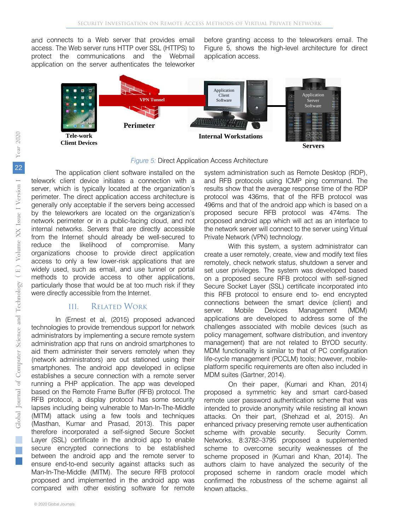and connects to a Web server that provides email access. The Web server runs HTTP over SSL (HTTPS) to protect the communications and the Webmail application on the server authenticates the teleworker

before granting access to the teleworkers email. The Figure 5, shows the high-level architecture for direct application access.



#### *Figure 5:* Direct Application Access Architecture

The application client software installed on the telework client device initiates a connection with a server, which is typically located at the organization's perimeter. The direct application access architecture is generally only acceptable if the servers being accessed by the teleworkers are located on the organization's network perimeter or in a public-facing cloud, and not internal networks. Servers that are directly accessible from the Internet should already be well-secured to reduce the likelihood of compromise. Many organizations choose to provide direct application access to only a few lower-risk applications that are widely used, such as email, and use tunnel or portal methods to provide access to other applications, particularly those that would be at too much risk if they were directly accessible from the Internet.

#### III. Related Work

In (Ernest et al, (2015) proposed advanced technologies to provide tremendous support for network administrators by implementing a secure remote system administration app that runs on android smartphones to aid them administer their servers remotely when they (network administrators) are out stationed using their smartphones. The android app developed in eclipse establishes a secure connection with a remote server running a PHP application. The app was developed based on the Remote Frame Buffer (RFB) protocol. The RFB protocol, a display protocol has some security lapses including being vulnerable to Man-In-The-Middle (MITM) attack using a few tools and techniques (Masthan, Kumar and Prasad, 2013). This paper therefore incorporated a self-signed Secure Socket Layer (SSL) certificate in the android app to enable secure encrypted connections to be established between the android app and the remote server to ensure end-to-end security against attacks such as Man-In-The-Middle (MITM). The secure RFB protocol proposed and implemented in the android app was compared with other existing software for remote

system administration such as Remote Desktop (RDP), and RFB protocols using ICMP ping command. The results show that the average response time of the RDP protocol was 436ms, that of the RFB protocol was 496ms and that of the android app which is based on a proposed secure RFB protocol was 474ms. The proposed android app which will act as an interface to the network server will connect to the server using Virtual Private Network (VPN) technology.

With this system, a system administrator can create a user remotely, create, view and modify text files remotely, check network status, shutdown a server and set user privileges. The system was developed based on a proposed secure RFB protocol with self-signed Secure Socket Layer (SSL) certificate incorporated into this RFB protocol to ensure end to- end encrypted connections between the smart device (client) and server. Mobile Devices Management (MDM) applications are developed to address some of the challenges associated with mobile devices (such as policy management, software distribution, and inventory management) that are not related to BYOD security. MDM functionality is similar to that of PC configuration life-cycle management (PCCLM) tools; however, mobileplatform specific requirements are often also included in MDM suites (Gartner, 2014).

On their paper, (Kumari and Khan, 2014) proposed a symmetric key and smart card-based remote user password authentication scheme that was intended to provide anonymity while resisting all known attacks. On their part, (Shehzad et al, 2015). An enhanced privacy preserving remote user authentication scheme with provable security. Security Comm. Networks. 8:3782–3795 proposed a supplemented scheme to overcome security weaknesses of the scheme proposed in (Kumari and Khan, 2014). The authors claim to have analyzed the security of the proposed scheme in random oracle model which confirmed the robustness of the scheme against all known attacks.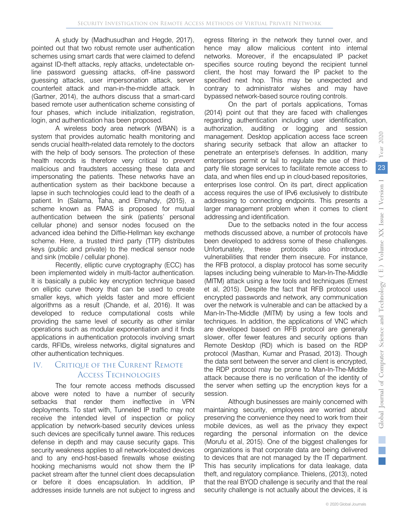A study by (Madhusudhan and Hegde, 2017), pointed out that two robust remote user authentication schemes using smart cards that were claimed to defend against ID-theft attacks, reply attacks, undetectable online password guessing attacks, off-line password guessing attacks, user impersonation attack, server counterfeit attack and man-in-the-middle attack. In (Gartner, 2014), the authors discuss that a smart-card based remote user authentication scheme consisting of four phases, which include initialization, registration, login, and authentication has been proposed.

A wireless body area network (WBAN) is a system that provides automatic health monitoring and sends crucial health-related data remotely to the doctors with the help of body sensors. The protection of these health records is therefore very critical to prevent malicious and fraudsters accessing these data and impersonating the patients. These networks have an authentication system as their backbone because a lapse in such technologies could lead to the death of a patient. In (Salama, Taha, and Elmahdy, (2015), a scheme known as PMAS is proposed for mutual authentication between the sink (patients' personal cellular phone) and sensor nodes focused on the advanced idea behind the Diffie-Hellman key exchange scheme. Here, a trusted third party (TTP) distributes keys (public and private) to the medical sensor node and sink (mobile / cellular phone).

Recently, elliptic curve cryptography (ECC) has been implemented widely in multi-factor authentication. It is basically a public key encryption technique based on elliptic curve theory that can be used to create smaller keys, which yields faster and more efficient algorithms as a result (Chande, et al, 2016). It was developed to reduce computational costs while providing the same level of security as other similar operations such as modular exponentiation and it finds applications in authentication protocols involving smart cards, RFIDs, wireless networks, digital signatures and other authentication techniques.

# IV. CRITIQUE OF THE CURRENT REMOTE Access Technologies

The four remote access methods discussed above were noted to have a number of security setbacks that render them ineffective in VPN deployments. To start with, Tunneled IP traffic may not receive the intended level of inspection or policy application by network-based security devices unless such devices are specifically tunnel aware. This reduces defense in depth and may cause security gaps. This security weakness applies to all network-located devices and to any end-host-based firewalls whose existing hooking mechanisms would not show them the IP packet stream after the tunnel client does decapsulation or before it does encapsulation. In addition, IP addresses inside tunnels are not subject to ingress and

egress filtering in the network they tunnel over, and hence may allow malicious content into internal networks. Moreover, if the encapsulated IP packet specifies source routing beyond the recipient tunnel client, the host may forward the IP packet to the specified next hop. This may be unexpected and contrary to administrator wishes and may have bypassed network-based source routing controls.

On the part of portals applications, Tomas (2014) point out that they are faced with challenges regarding authentication including user identification, authorization, auditing or logging and session management. Desktop application access face screen sharing security setback that allow an attacker to penetrate an enterprise's defenses. In addition, many enterprises permit or fail to regulate the use of thirdparty file storage services to facilitate remote access to data, and when files end up in cloud-based repositories, enterprises lose control. On its part, direct application access requires the use of IPv6 exclusively to distribute addressing to connecting endpoints. This presents a larger management problem when it comes to client addressing and identification.

Due to the setbacks noted in the four access methods discussed above, a number of protocols have been developed to address some of these challenges. Unfortunately, these protocols also introduce vulnerabilities that render them insecure. For instance, the RFB protocol, a display protocol has some security lapses including being vulnerable to Man-In-The-Middle (MITM) attack using a few tools and techniques (Ernest et al, 2015). Despite the fact that RFB protocol uses encrypted passwords and network, any communication over the network is vulnerable and can be attacked by a Man-In-The-Middle (MITM) by using a few tools and techniques. In addition, the applications of VNC which are developed based on RFB protocol are generally slower, offer fewer features and security options than Remote Desktop (RD) which is based on the RDP protocol (Masthan, Kumar and Prasad, 2013). Though the data sent between the server and client is encrypted, the RDP protocol may be prone to Man-In-The-Middle attack because there is no verification of the identity of the server when setting up the encryption keys for a session.

Although businesses are mainly concerned with maintaining security, employees are worried about preserving the convenience they need to work from their mobile devices, as well as the privacy they expect regarding the personal information on the device (Morufu et al, 2015). One of the biggest challenges for organizations is that corporate data are being delivered to devices that are not managed by the IT department. This has security implications for data leakage, data theft, and regulatory compliance. Thielens, (2013), noted that the real BYOD challenge is security and that the real security challenge is not actually about the devices, it is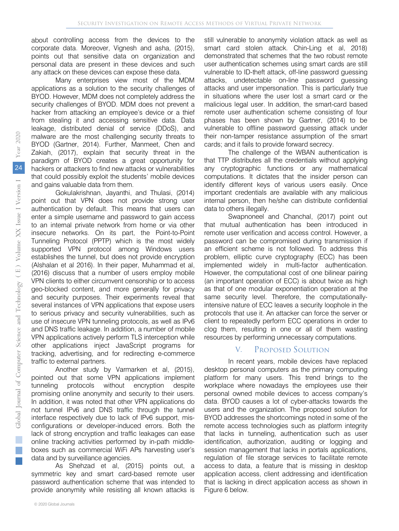about controlling access from the devices to the corporate data. Moreover, Vignesh and asha, (2015), points out that sensitive data on organization and personal data are present in these devices and such any attack on these devices can expose these data.

Many enterprises view most of the MDM applications as a solution to the security challenges of BYOD. However, MDM does not completely address the security challenges of BYOD. MDM does not prevent a hacker from attacking an employee's device or a thief from stealing it and accessing sensitive data. Data leakage, distributed denial of service (DDoS), and malware are the most challenging security threats to BYOD (Gartner, 2014). Further, Manmeet, Chen and Zakiah, (2017), explain that security threat in the paradigm of BYOD creates a great opportunity for hackers or attackers to find new attacks or vulnerabilities that could possibly exploit the students' mobile devices and gains valuable data from them.

Gokulakrishnan, Jayanthi, and Thulasi, (2014) point out that VPN does not provide strong user authentication by default. This means that users can enter a simple username and password to gain access to an internal private network from home or via other insecure networks. On its part, the Point-to-Point Tunneling Protocol (PPTP) which is the most widely supported VPN protocol among Windows users establishes the tunnel, but does not provide encryption (Alshalan et al 2016). In their paper, Muhammad et al, (2016) discuss that a number of users employ mobile VPN clients to either circumvent censorship or to access geo-blocked content, and more generally for privacy and security purposes. Their experiments reveal that several instances of VPN applications that expose users to serious privacy and security vulnerabilities, such as use of insecure VPN tunneling protocols, as well as IPv6 and DNS traffic leakage. In addition, a number of mobile VPN applications actively perform TLS interception while other applications inject JavaScript programs for tracking, advertising, and for redirecting e-commerce traffic to external partners.

Another study by Varmarken et al, (2015), pointed out that some VPN applications implement tunneling protocols without encryption despite promising online anonymity and security to their users. In addition, it was noted that other VPN applications do not tunnel IPv6 and DNS traffic through the tunnel interface respectively due to lack of IPv6 support, misconfigurations or developer-induced errors. Both the lack of strong encryption and traffic leakages can ease online tracking activities performed by in-path middleboxes such as commercial WiFi APs harvesting user's data and by surveillance agencies.

As Shehzad et al, (2015) points out, a symmetric key and smart card-based remote user password authentication scheme that was intended to provide anonymity while resisting all known attacks is

still vulnerable to anonymity violation attack as well as smart card stolen attack. Chin-Ling et al, 2018) demonstrated that schemes that the two robust remote user authentication schemes using smart cards are still vulnerable to ID-theft attack, off-line password guessing attacks, undetectable on-line password guessing attacks and user impersonation. This is particularly true in situations where the user lost a smart card or the malicious legal user. In addition, the smart-card based remote user authentication scheme consisting of four phases has been shown by Gartner, (2014) to be vulnerable to offline password guessing attack under their non-tamper resistance assumption of the smart cards; and it fails to provide forward secrecy.

The challenge of the WBAN authentication is that TTP distributes all the credentials without applying any cryptographic functions or any mathematical computations. It dictates that the insider person can identify different keys of various users easily. Once important credentials are available with any malicious internal person, then he/she can distribute confidential data to others illegally.

Swapnoneel and Chanchal, (2017) point out that mutual authentication has been introduced in remote user verification and access control. However, a password can be compromised during transmission if an efficient scheme is not followed. To address this problem, elliptic curve cryptography (ECC) has been implemented widely in multi-factor authentication. However, the computational cost of one bilinear pairing (an important operation of ECC) is about twice as high as that of one modular exponentiation operation at the same security level. Therefore, the computationallyintensive nature of ECC leaves a security loophole in the protocols that use it. An attacker can force the server or client to repeatedly perform ECC operations in order to clog them, resulting in one or all of them wasting resources by performing unnecessary computations.

## V. Proposed Solution

In recent years, mobile devices have replaced desktop personal computers as the primary computing platform for many users. This trend brings to the workplace where nowadays the employees use their personal owned mobile devices to access company's data. BYOD causes a lot of cyber-attacks towards the users and the organization. The proposed solution for BYOD addresses the shortcomings noted in some of the remote access technologies such as platform integrity that lacks in tunneling, authentication such as user identification, authorization, auditing or logging and session management that lacks in portals applications, regulation of file storage services to facilitate remote access to data, a feature that is missing in desktop application access, client addressing and identification that is lacking in direct application access as shown in Figure 6 below.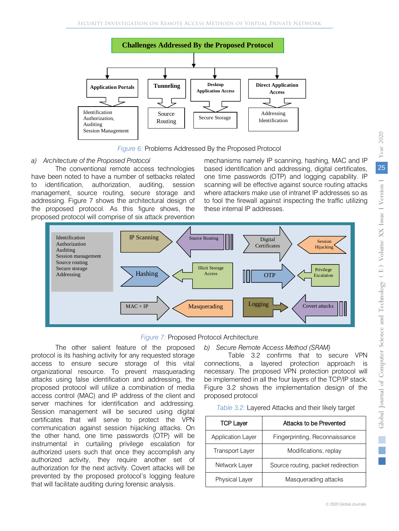

*Figure 6:* Problems Addressed By the Proposed Protocol

# *a) Architecture of the Proposed Protocol*

The conventional remote access technologies have been noted to have a number of setbacks related to identification, authorization, auditing, session management, source routing, secure storage and addressing. Figure 7 shows the architectural design of the proposed protocol. As this figure shows, the proposed protocol will comprise of six attack prevention

mechanisms namely IP scanning, hashing, MAC and IP based identification and addressing, digital certificates, one time passwords (OTP) and logging capability. IP scanning will be effective against source routing attacks where attackers make use of intranet IP addresses so as to fool the firewall against inspecting the traffic utilizing these internal IP addresses.



## *Figure 7:* Proposed Protocol Architecture

The other salient feature of the proposed protocol is its hashing activity for any requested storage access to ensure secure storage of this vital organizational resource. To prevent masquerading attacks using false identification and addressing, the proposed protocol will utilize a combination of media access control (MAC) and IP address of the client and server machines for identification and addressing. Session management will be secured using digital certificates that will serve to protect the VPN communication against session hijacking attacks. On the other hand, one time passwords (OTP) will be instrumental in curtailing privilege escalation for authorized users such that once they accomplish any authorized activity, they require another set of authorization for the next activity. Covert attacks will be prevented by the proposed protocol's logging feature that will facilitate auditing during forensic analysis.

## *b) Secure Remote Access Method (SRAM)*

Table 3.2 confirms that to secure VPN connections, a layered protection approach is necessary. The proposed VPN protection protocol will be implemented in all the four layers of the TCP/IP stack. Figure 3.2 shows the implementation design of the proposed protocol

| Table 3.2: Layered Attacks and their likely target |  |  |
|----------------------------------------------------|--|--|
|----------------------------------------------------|--|--|

| <b>TCP Layer</b>         | Attacks to be Prevented            |
|--------------------------|------------------------------------|
| <b>Application Layer</b> | Fingerprinting, Reconnaissance     |
| <b>Transport Layer</b>   | Modifications, replay              |
| Network Layer            | Source routing, packet redirection |
| <b>Physical Layer</b>    | Masquerading attacks               |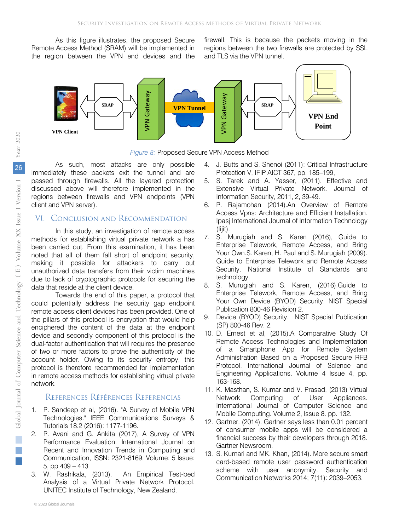As this figure illustrates, the proposed Secure Remote Access Method (SRAM) will be implemented in the region between the VPN end devices and the firewall. This is because the packets moving in the regions between the two firewalls are protected by SSL and TLS via the VPN tunnel.





As such, most attacks are only possible immediately these packets exit the tunnel and are passed through firewalls. All the layered protection discussed above will therefore implemented in the regions between firewalls and VPN endpoints (VPN client and VPN server).

# VI. Conclusion and Recommendation

In this study, an investigation of remote access methods for establishing virtual private network a has been carried out. From this examination, it has been noted that all of them fall short of endpoint security, making it possible for attackers to carry out unauthorized data transfers from their victim machines due to lack of cryptographic protocols for securing the data that reside at the client device.

Towards the end of this paper, a protocol that could potentially address the security gap endpoint remote access client devices has been provided. One of the pillars of this protocol is encryption that would help enciphered the content of the data at the endpoint device and secondly component of this protocol is the dual-factor authentication that will requires the presence of two or more factors to prove the authenticity of the account holder. Owing to its security entropy, this protocol is therefore recommended for implementation in remote access methods for establishing virtual private network.

# References Références Referencias

- 1. P. Sandeep et al, (2016). "A Survey of Mobile VPN Technologies." IEEE Communications Surveys & Tutorials 18.2 (2016): 1177-1196.
- 2. P. Avani and G. Ankita (2017), A Survey of VPN Performance Evaluation. International Journal on Recent and Innovation Trends in Computing and Communication, ISSN: 2321-8169, Volume: 5 Issue: 5, pp 409 – 413
- 3. W. Rashikala, (2013). An Empirical Test-bed Analysis of a Virtual Private Network Protocol. UNITEC Institute of Technology, New Zealand.
- 4. J. Butts and S. Shenoi (2011): Critical Infrastructure Protection V, IFIP AICT 367, pp. 185–199,
- 5. S. Tarek and A. Yasser, (2011). Effective and Extensive Virtual Private Network. Journal of Information Security, 2011, 2, 39-49.
- 6. P. Rajamohan (2014).An Overview of Remote Access Vpns: Architecture and Efficient Installation. Ipasj International Journal of Information Technology (Iijit).
- 7. S. Murugiah and S. Karen (2016), Guide to Enterprise Telework, Remote Access, and Bring Your Own.S. Karen, H. Paul and S. Murugiah (2009). Guide to Enterprise Telework and Remote Access Security. National Institute of Standards and technology.
- 8. S. Murugiah and S. Karen, (2016).Guide to Enterprise Telework, Remote Access, and Bring Your Own Device (BYOD) Security. NIST Special Publication 800-46 Revision 2.
- 9. Device (BYOD) Security. NIST Special Publication (SP) 800-46 Rev. 2.
- 10. D. Ernest et al, (2015).A Comparative Study Of Remote Access Technologies and Implementation of a Smartphone App for Remote System Administration Based on a Proposed Secure RFB Protocol. International Journal of Science and Engineering Applications. Volume 4 Issue 4, pp. 163-168.
- 11. K. Masthan, S. Kumar and V. Prasad, (2013) Virtual Network Computing of User Appliances. International Journal of Computer Science and Mobile Computing. Volume 2, Issue 8. pp. 132.
- 12. Gartner. (2014). Gartner says less than 0.01 percent of consumer mobile apps will be considered a financial success by their developers through 2018. Gartner Newsroom.
- 13. S. Kumari and MK. Khan, (2014). More secure smart card-based remote user password authentication scheme with user anonymity. Security and Communication Networks 2014; 7(11): 2039–2053.